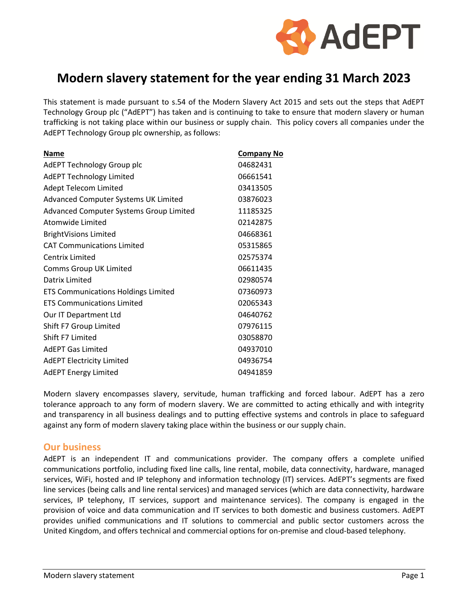

# **Modern slavery statement for the year ending 31 March 2023**

This statement is made pursuant to s.54 of the Modern Slavery Act 2015 and sets out the steps that AdEPT Technology Group plc ("AdEPT") has taken and is continuing to take to ensure that modern slavery or human trafficking is not taking place within our business or supply chain. This policy covers all companies under the AdEPT Technology Group plc ownership, as follows:

| <b>Name</b>                                | <b>Company No</b> |
|--------------------------------------------|-------------------|
| AdEPT Technology Group plc                 | 04682431          |
| <b>AdEPT Technology Limited</b>            | 06661541          |
| <b>Adept Telecom Limited</b>               | 03413505          |
| Advanced Computer Systems UK Limited       | 03876023          |
| Advanced Computer Systems Group Limited    | 11185325          |
| Atomwide Limited                           | 02142875          |
| <b>BrightVisions Limited</b>               | 04668361          |
| <b>CAT Communications Limited</b>          | 05315865          |
| Centrix Limited                            | 02575374          |
| Comms Group UK Limited                     | 06611435          |
| Datrix Limited                             | 02980574          |
| <b>ETS Communications Holdings Limited</b> | 07360973          |
| <b>ETS Communications Limited</b>          | 02065343          |
| Our IT Department Ltd                      | 04640762          |
| Shift F7 Group Limited                     | 07976115          |
| Shift F7 Limited                           | 03058870          |
| <b>AdEPT Gas Limited</b>                   | 04937010          |
| <b>AdEPT Electricity Limited</b>           | 04936754          |
| <b>AdEPT Energy Limited</b>                | 04941859          |

Modern slavery encompasses slavery, servitude, human trafficking and forced labour. AdEPT has a zero tolerance approach to any form of modern slavery. We are committed to acting ethically and with integrity and transparency in all business dealings and to putting effective systems and controls in place to safeguard against any form of modern slavery taking place within the business or our supply chain.

#### **Our business**

AdEPT is an independent IT and communications provider. The company offers a complete unified communications portfolio, including fixed line calls, line rental, mobile, data connectivity, hardware, managed services, WiFi, hosted and IP telephony and information technology (IT) services. AdEPT's segments are fixed line services (being calls and line rental services) and managed services (which are data connectivity, hardware services, IP telephony, IT services, support and maintenance services). The company is engaged in the provision of voice and data communication and IT services to both domestic and business customers. AdEPT provides unified communications and IT solutions to commercial and public sector customers across the United Kingdom, and offers technical and commercial options for on-premise and cloud-based telephony.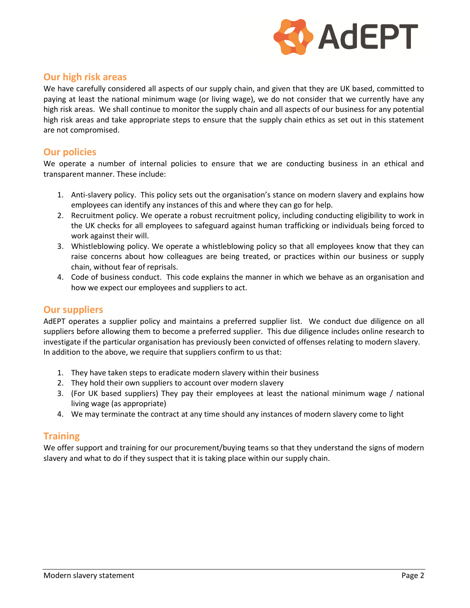

### **Our high risk areas**

We have carefully considered all aspects of our supply chain, and given that they are UK based, committed to paying at least the national minimum wage (or living wage), we do not consider that we currently have any high risk areas. We shall continue to monitor the supply chain and all aspects of our business for any potential high risk areas and take appropriate steps to ensure that the supply chain ethics as set out in this statement are not compromised.

#### **Our policies**

We operate a number of internal policies to ensure that we are conducting business in an ethical and transparent manner. These include:

- 1. Anti-slavery policy. This policy sets out the organisation's stance on modern slavery and explains how employees can identify any instances of this and where they can go for help.
- 2. Recruitment policy. We operate a robust recruitment policy, including conducting eligibility to work in the UK checks for all employees to safeguard against human trafficking or individuals being forced to work against their will.
- 3. Whistleblowing policy. We operate a whistleblowing policy so that all employees know that they can raise concerns about how colleagues are being treated, or practices within our business or supply chain, without fear of reprisals.
- 4. Code of business conduct. This code explains the manner in which we behave as an organisation and how we expect our employees and suppliers to act.

### **Our suppliers**

AdEPT operates a supplier policy and maintains a preferred supplier list. We conduct due diligence on all suppliers before allowing them to become a preferred supplier. This due diligence includes online research to investigate if the particular organisation has previously been convicted of offenses relating to modern slavery. In addition to the above, we require that suppliers confirm to us that:

- 1. They have taken steps to eradicate modern slavery within their business
- 2. They hold their own suppliers to account over modern slavery
- 3. (For UK based suppliers) They pay their employees at least the national minimum wage / national living wage (as appropriate)
- 4. We may terminate the contract at any time should any instances of modern slavery come to light

#### **Training**

We offer support and training for our procurement/buying teams so that they understand the signs of modern slavery and what to do if they suspect that it is taking place within our supply chain.